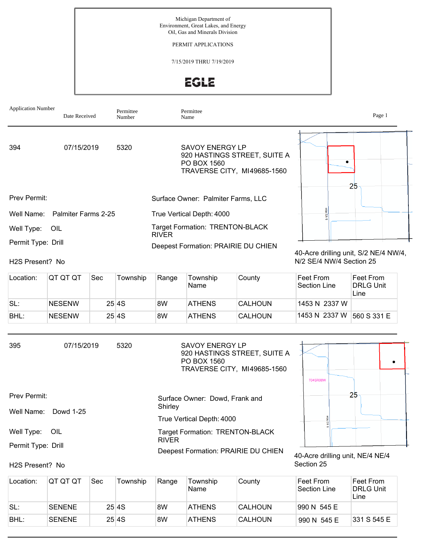Michigan Department of Environment, Great Lakes, and Energy Oil, Gas and Minerals Division

PERMIT APPLICATIONS

7/15/2019 THRU 7/19/2019

**EGLE** 

| <b>Application Number</b> | Date Received                  | Permittee<br>Number |              | Permittee<br>Name                                                                                    |             | Page 1 |
|---------------------------|--------------------------------|---------------------|--------------|------------------------------------------------------------------------------------------------------|-------------|--------|
| 394                       | 07/15/2019                     | 5320                |              | <b>SAVOY ENERGY LP</b><br>920 HASTINGS STREET, SUITE A<br>PO BOX 1560<br>TRAVERSE CITY, MI49685-1560 | 25          |        |
| <b>Prev Permit:</b>       |                                |                     |              | Surface Owner: Palmiter Farms, LLC                                                                   |             |        |
|                           | Well Name: Palmiter Farms 2-25 |                     |              | True Vertical Depth: 4000                                                                            |             |        |
| Well Type:                | OIL                            |                     | <b>RIVER</b> | <b>Target Formation: TRENTON-BLACK</b>                                                               |             |        |
| Permit Type: Drill        |                                |                     |              | Deepest Formation: PRAIRIE DU CHIEN                                                                  | .<br>$\sim$ |        |

## H2S Present? No

40-Acre drilling unit, S/2 NE/4 NW/4, N/2 SE/4 NW/4 Section 25

Section 25

| Location: | IQT QT QT     | Sec | Township | Range | Township<br>Name | County         | ∣Feet From<br>Section Line | Feet From<br><b>DRLG Unit</b><br>Line |
|-----------|---------------|-----|----------|-------|------------------|----------------|----------------------------|---------------------------------------|
| SL:       | <b>NESENW</b> |     | 25 4 S   | 8W    | <b>ATHENS</b>    | <b>CALHOUN</b> | 1453 N 2337 W              |                                       |
| BHL:      | <b>NESENW</b> |     | 25 4 S   | 8W    | <b>ATHENS</b>    | <b>CALHOUN</b> | 1453 N 2337 W              | 560 S 331 E                           |

| 395                | 07/15/2019 | 5320 | SAVOY ENERGY LP<br>920 HASTINGS STREET, SUITE A<br>PO BOX 1560<br>TRAVERSE CITY, MI49685-1560 | <b>T04SR08W</b>                  |
|--------------------|------------|------|-----------------------------------------------------------------------------------------------|----------------------------------|
| Prev Permit:       |            |      | Surface Owner: Dowd, Frank and<br>Shirley                                                     | 25                               |
| Well Name:         | Dowd 1-25  |      | True Vertical Depth: 4000                                                                     |                                  |
| Well Type:         | OIL        |      | <b>Target Formation: TRENTON-BLACK</b><br><b>RIVER</b>                                        |                                  |
| Permit Type: Drill |            |      |                                                                                               |                                  |
|                    |            |      | Deepest Formation: PRAIRIE DU CHIEN                                                           | 40-Acre drilling unit, NE/4 NE/4 |

## H2S Present? No

| Location: | IQT QT QT     | Sec | Township | Range | Township<br>Name | County         | ∣Feet From<br>'Section Line | Feet From<br><b>DRLG Unit</b><br>Line |
|-----------|---------------|-----|----------|-------|------------------|----------------|-----------------------------|---------------------------------------|
| SL:       | <b>SENENE</b> |     | 25 4S    | 8W    | <b>ATHENS</b>    | CALHOUN        | 990 N 545 E                 |                                       |
| BHL:      | <b>SENENE</b> |     | 25 4S    | 8W    | <b>ATHENS</b>    | <b>CALHOUN</b> | 990 N 545 E                 | 331 S 545 E                           |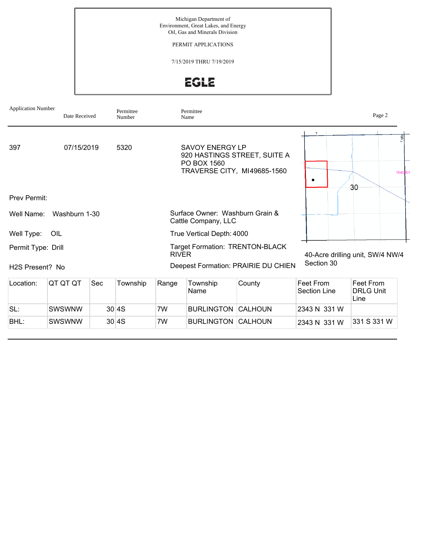Michigan Department of Environment, Great Lakes, and Energy Oil, Gas and Minerals Division

PERMIT APPLICATIONS

7/15/2019 THRU 7/19/2019

EGLE

| <b>Application Number</b>    | Date Received |     | Permittee<br>Number |              | Permittee<br>Name                                      |                                                             |                                       | Page 2                             |
|------------------------------|---------------|-----|---------------------|--------------|--------------------------------------------------------|-------------------------------------------------------------|---------------------------------------|------------------------------------|
| 397<br>Prev Permit:          | 07/15/2019    |     | 5320                |              | <b>SAVOY ENERGY LP</b><br>PO BOX 1560                  | 920 HASTINGS STREET, SUITE A<br>TRAVERSE CITY, MI49685-1560 | T                                     | $\frac{1}{2}$<br><b>T04S</b><br>30 |
|                              |               |     |                     |              |                                                        |                                                             |                                       |                                    |
| Well Name:                   | Washburn 1-30 |     |                     |              | Surface Owner: Washburn Grain &<br>Cattle Company, LLC |                                                             |                                       |                                    |
| Well Type:                   | OIL           |     |                     |              | True Vertical Depth: 4000                              |                                                             |                                       |                                    |
| Permit Type: Drill           |               |     |                     | <b>RIVER</b> |                                                        | <b>Target Formation: TRENTON-BLACK</b>                      |                                       | 40-Acre drilling unit, SW/4 NW/4   |
| H <sub>2</sub> S Present? No |               |     |                     |              |                                                        | Deepest Formation: PRAIRIE DU CHIEN                         | Section 30                            |                                    |
| Location:                    | QT QT QT      | Sec | Township            | Range        | Township<br>Name                                       | <b>Feet From</b><br>Section Line                            | Feet From<br><b>DRLG Unit</b><br>Line |                                    |
| SL:                          | <b>SWSWNW</b> |     | 30 4S               | 7W           | <b>BURLINGTON</b>                                      | <b>CALHOUN</b>                                              | 2343 N 331 W                          |                                    |
| BHL:                         | <b>SWSWNW</b> |     | 30 4S               | 7W           | <b>BURLINGTON CALHOUN</b>                              |                                                             | 2343 N 331 W                          | 331 S 331 W                        |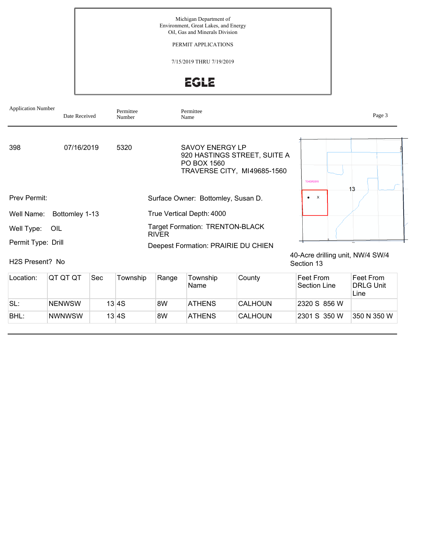Michigan Department of Environment, Great Lakes, and Energy Oil, Gas and Minerals Division

PERMIT APPLICATIONS

7/15/2019 THRU 7/19/2019

**EGLE** 

| <b>Application Number</b>    | Date Received  | Permittee<br>Number |              | Permittee<br>Name                                                                                    |                           | Page 3                           |
|------------------------------|----------------|---------------------|--------------|------------------------------------------------------------------------------------------------------|---------------------------|----------------------------------|
| 398                          | 07/16/2019     | 5320                |              | <b>SAVOY ENERGY LP</b><br>920 HASTINGS STREET, SUITE A<br>PO BOX 1560<br>TRAVERSE CITY, MI49685-1560 | <b>T04SR08W</b>           | 13                               |
| Prev Permit:                 |                |                     |              | Surface Owner: Bottomley, Susan D.                                                                   | $\mathsf{x}$<br>$\bullet$ |                                  |
| Well Name:                   | Bottomley 1-13 |                     |              | True Vertical Depth: 4000                                                                            |                           |                                  |
| Well Type:<br>OIL            |                |                     | <b>RIVER</b> | <b>Target Formation: TRENTON-BLACK</b>                                                               |                           |                                  |
| Permit Type: Drill           |                |                     |              | Deepest Formation: PRAIRIE DU CHIEN                                                                  |                           |                                  |
| H <sub>2</sub> S Present? No |                |                     |              |                                                                                                      | Section 13                | 40-Acre drilling unit, NW/4 SW/4 |

| Location: | IQT QT QT     | Sec | Township | Range | Township<br>'Name | County         | ∣Feet From<br>Section Line | Feet From<br><b>DRLG Unit</b><br>Line |
|-----------|---------------|-----|----------|-------|-------------------|----------------|----------------------------|---------------------------------------|
| 'SL:      | <b>NENWSW</b> |     | 13 4S    | 8W    | <b>ATHENS</b>     | <b>CALHOUN</b> | 2320 S 856 W               |                                       |
| BHL:      | <b>NWNWSW</b> |     | 13 4S    | 8W    | <b>ATHENS</b>     | <b>CALHOUN</b> | 2301 S 350 W               | 350 N 350 W                           |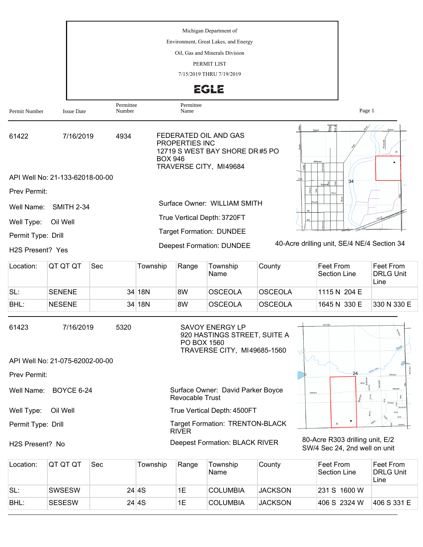|                               |                                 |                     | Michigan Department of<br>Environment, Great Lakes, and Energy                                                        |                                             |
|-------------------------------|---------------------------------|---------------------|-----------------------------------------------------------------------------------------------------------------------|---------------------------------------------|
|                               |                                 |                     | Oil, Gas and Minerals Division                                                                                        |                                             |
|                               |                                 |                     | PERMIT LIST                                                                                                           |                                             |
|                               |                                 |                     | 7/15/2019 THRU 7/19/2019                                                                                              |                                             |
|                               |                                 |                     | <b>EGLE</b>                                                                                                           |                                             |
| Permit Number                 | <b>Issue Date</b>               | Permittee<br>Number | Permittee<br>Name                                                                                                     | Page 1                                      |
| 61422                         | 7/16/2019                       | 4934                | FEDERATED OIL AND GAS<br>PROPERTIES INC<br>12719 S WEST BAY SHORE DR#5 PO<br><b>BOX 946</b><br>TRAVERSE CITY, MI49684 | Grand<br>$\times$<br>Jefferson              |
|                               | API Well No: 21-133-62018-00-00 |                     |                                                                                                                       | 34                                          |
| Prev Permit:                  |                                 |                     |                                                                                                                       |                                             |
| Well Name:                    | <b>SMITH 2-34</b>               |                     | Surface Owner: WILLIAM SMITH                                                                                          |                                             |
| Well Type:                    | Oil Well                        |                     | True Vertical Depth: 3720FT                                                                                           |                                             |
| Permit Type: Drill            |                                 |                     | <b>Target Formation: DUNDEE</b>                                                                                       |                                             |
| H <sub>2</sub> S Present? Yes |                                 |                     | <b>Deepest Formation: DUNDEE</b>                                                                                      | 40-Acre drilling unit, SE/4 NE/4 Section 34 |

| Location: | IQT QT QT     | Sec | Township | Range | Township<br>Name | County         | ∣Feet From<br>Section Line | Feet From<br><b>DRLG Unit</b><br>Line |
|-----------|---------------|-----|----------|-------|------------------|----------------|----------------------------|---------------------------------------|
| SL:       | SENENE        |     | 34 18N   | 8W    | OSCEOLA          | <b>OSCEOLA</b> | 1115 N 204 E               |                                       |
| BHL:      | <b>NESENE</b> |     | 34 18N   | 8W    | OSCEOLA          | <b>OSCEOLA</b> | 1645 N 330 E               | 1330 N 330 E                          |

| 61423               | 7/16/2019                       | 5320 | SAVOY ENERGY LP<br>920 HASTINGS STREET, SUITE A<br>PO BOX 1560<br>TRAVERSE CITY, MI49685-1560 | Riverside          |
|---------------------|---------------------------------|------|-----------------------------------------------------------------------------------------------|--------------------|
|                     | API Well No: 21-075-62002-00-00 |      |                                                                                               |                    |
| <b>Prev Permit:</b> |                                 |      |                                                                                               | 24                 |
| Well Name:          | <b>BOYCE 6-24</b>               |      | Surface Owner: David Parker Boyce<br>Revocable Trust                                          | Helen<br>Jefferson |
| Well Type:          | Oil Well                        |      | True Vertical Depth: 4500FT                                                                   |                    |
| Permit Type: Drill  |                                 |      | <b>Target Formation: TRENTON-BLACK</b><br><b>RIVER</b>                                        | $\times$           |

H2S Present? No

80-Acre R303 drilling unit, E/2 SW/4 Sec 24, 2nd well on unit

| Location: | IQT QT QT     | Sec | Township | Range | Township<br>Name | County         | Feet From<br>Section Line | Feet From<br><b>DRLG Unit</b><br>Line |
|-----------|---------------|-----|----------|-------|------------------|----------------|---------------------------|---------------------------------------|
| SL:       | <b>SWSESW</b> |     | 24 4S    | 1E    | <b>COLUMBIA</b>  | <b>JACKSON</b> | 231 S 1600 W              |                                       |
| BHL:      | <b>SESESW</b> |     | 24 4S    | 1E    | <b>COLUMBIA</b>  | <b>JACKSON</b> | 406 S 2324 W              | 406 S 331 E                           |

Deepest Formation: BLACK RIVER